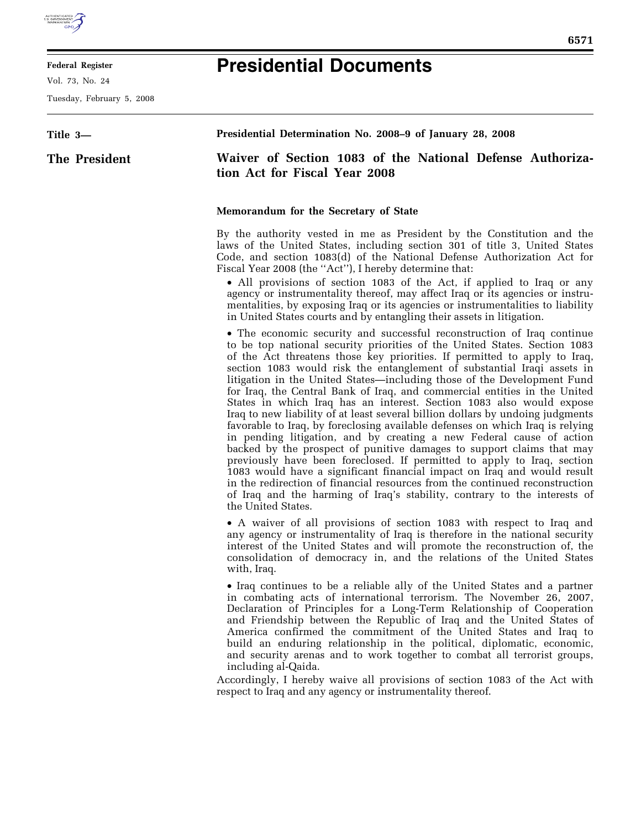

## **Federal Register**

Vol. 73, No. 24

Tuesday, February 5, 2008

## **Presidential Documents**

| Title 3-      | Presidential Determination No. 2008–9 of January 28, 2008                                                                                                                                                                                                                                                                                                                                                                                                                                                                                                                                                                                                                                                                                                                                                                                                                                                                                                                                                                                                                                                                                                                                               |
|---------------|---------------------------------------------------------------------------------------------------------------------------------------------------------------------------------------------------------------------------------------------------------------------------------------------------------------------------------------------------------------------------------------------------------------------------------------------------------------------------------------------------------------------------------------------------------------------------------------------------------------------------------------------------------------------------------------------------------------------------------------------------------------------------------------------------------------------------------------------------------------------------------------------------------------------------------------------------------------------------------------------------------------------------------------------------------------------------------------------------------------------------------------------------------------------------------------------------------|
| The President | Waiver of Section 1083 of the National Defense Authoriza-<br>tion Act for Fiscal Year 2008                                                                                                                                                                                                                                                                                                                                                                                                                                                                                                                                                                                                                                                                                                                                                                                                                                                                                                                                                                                                                                                                                                              |
|               | Memorandum for the Secretary of State                                                                                                                                                                                                                                                                                                                                                                                                                                                                                                                                                                                                                                                                                                                                                                                                                                                                                                                                                                                                                                                                                                                                                                   |
|               | By the authority vested in me as President by the Constitution and the<br>laws of the United States, including section 301 of title 3, United States<br>Code, and section 1083(d) of the National Defense Authorization Act for<br>Fiscal Year 2008 (the "Act"), I hereby determine that:<br>• All provisions of section 1083 of the Act, if applied to Iraq or any<br>agency or instrumentality thereof, may affect Iraq or its agencies or instru-<br>mentalities, by exposing Iraq or its agencies or instrumentalities to liability<br>in United States courts and by entangling their assets in litigation.                                                                                                                                                                                                                                                                                                                                                                                                                                                                                                                                                                                        |
|               | • The economic security and successful reconstruction of Iraq continue<br>to be top national security priorities of the United States. Section 1083<br>of the Act threatens those key priorities. If permitted to apply to Iraq,<br>section 1083 would risk the entanglement of substantial Iraqi assets in<br>litigation in the United States—including those of the Development Fund<br>for Iraq, the Central Bank of Iraq, and commercial entities in the United<br>States in which Iraq has an interest. Section 1083 also would expose<br>Iraq to new liability of at least several billion dollars by undoing judgments<br>favorable to Iraq, by foreclosing available defenses on which Iraq is relying<br>in pending litigation, and by creating a new Federal cause of action<br>backed by the prospect of punitive damages to support claims that may<br>previously have been foreclosed. If permitted to apply to Iraq, section<br>1083 would have a significant financial impact on Iraq and would result<br>in the redirection of financial resources from the continued reconstruction<br>of Iraq and the harming of Iraq's stability, contrary to the interests of<br>the United States. |
|               | • A waiver of all provisions of section 1083 with respect to Iraq and<br>any agency or instrumentality of Iraq is therefore in the national security<br>interest of the United States and will promote the reconstruction of, the<br>consolidation of democracy in, and the relations of the United States<br>with, Iraq.                                                                                                                                                                                                                                                                                                                                                                                                                                                                                                                                                                                                                                                                                                                                                                                                                                                                               |
|               | • Iraq continues to be a reliable ally of the United States and a partner<br>in combating acts of international terrorism. The November 26, 2007,<br>Declaration of Principles for a Long-Term Relationship of Cooperation<br>and Friendship between the Republic of Iraq and the United States of<br>America confirmed the commitment of the United States and Iraq to<br>build an enduring relationship in the political, diplomatic, economic,<br>and security arenas and to work together to combat all terrorist groups,<br>including al-Qaida.<br>Accordingly, I hereby waive all provisions of section 1083 of the Act with                                                                                                                                                                                                                                                                                                                                                                                                                                                                                                                                                                      |
|               | respect to Iraq and any agency or instrumentality thereof.                                                                                                                                                                                                                                                                                                                                                                                                                                                                                                                                                                                                                                                                                                                                                                                                                                                                                                                                                                                                                                                                                                                                              |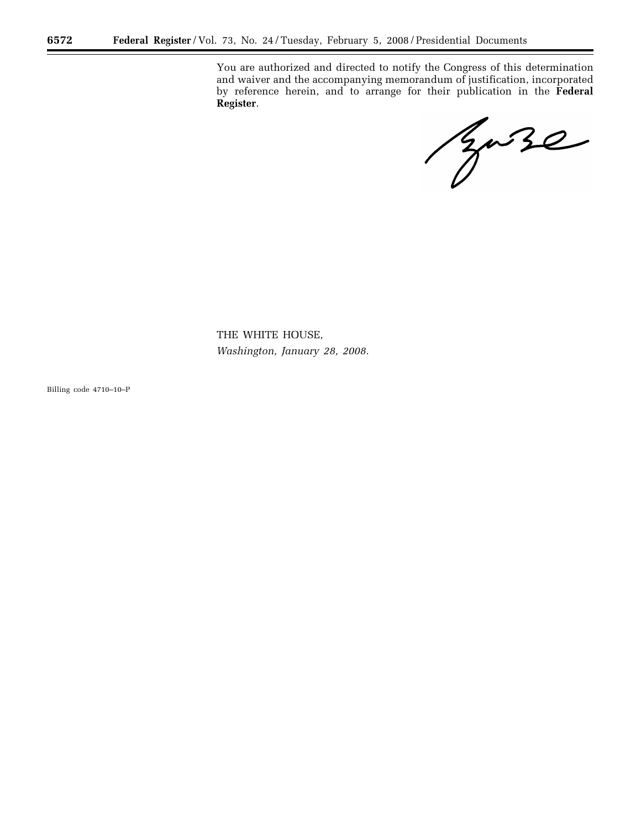You are authorized and directed to notify the Congress of this determination and waiver and the accompanying memorandum of justification, incorporated by reference herein, and to arrange for their publication in the **Federal Register**.

Baze

THE WHITE HOUSE, *Washington, January 28, 2008.* 

Billing code 4710–10–P

۳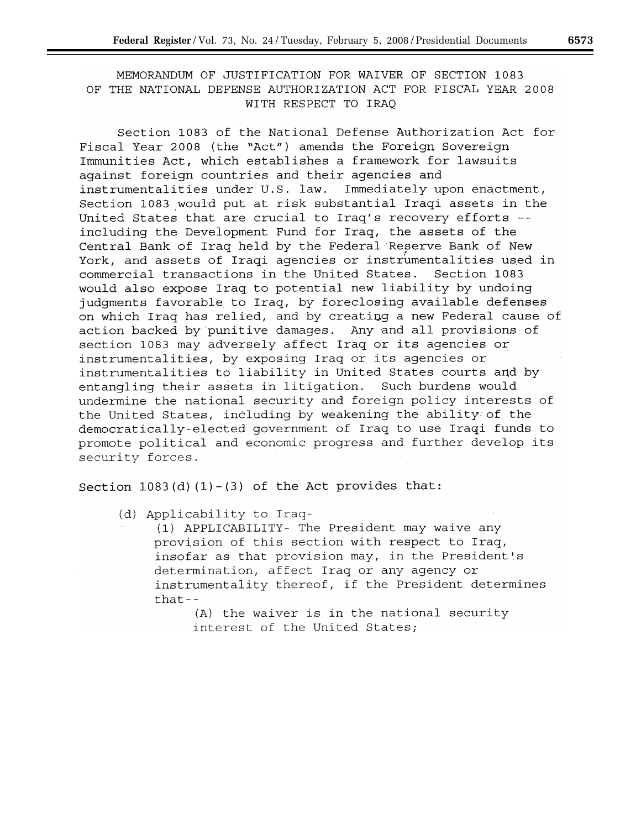MEMORANDUM OF JUSTIFICATION FOR WAIVER OF SECTION 1083 OF THE NATIONAL DEFENSE AUTHORIZATION ACT FOR FISCAL YEAR 2008 WITH RESPECT TO IRAQ

Section 1083 of the National Defense Authorization Act for Fiscal Year 2008 (the "Act") amends the Foreign Sovereign Immunities Act, which establishes a framework for lawsuits against foreign countries and their agencies and instrumentalities under U.S. law. Immediately upon enactment, Section 1083 would put at risk substantial Iraqi assets in the United States that are crucial to Iraq's recovery efforts -including the Development Fund for Iraq, the assets of the Central Bank of Iraq held by the Federal Reserve Bank of New York, and assets of Iraqi agencies or instrumentalities used in commercial transactions in the United States. Section 1083 would also expose Iraq to potential new liability by undoing judgments favorable to Iraq, by foreclosing available defenses on which Iraq has relied, and by creating a new Federal cause of action backed by punitive damages. Any and all provisions of section 1083 may adversely affect Iraq or its agencies or instrumentalities, by exposing Iraq or its agencies or instrumentalities to liability in United States courts and by entangling their assets in litigation. Such burdens would undermine the national security and foreign policy interests of the United States, including by weakening the ability of the democratically-elected government of Iraq to use Iraqi funds to promote political and economic progress and further develop its security forces.

Section  $1083(d)(1) - (3)$  of the Act provides that:

(d) Applicability to Iraq-

(1) APPLICABILITY- The President may waive any provision of this section with respect to Iraq, insofar as that provision may, in the President's determination, affect Iraq or any agency or instrumentality thereof, if the President determines  $that--$ 

> (A) the waiver is in the national security interest of the United States;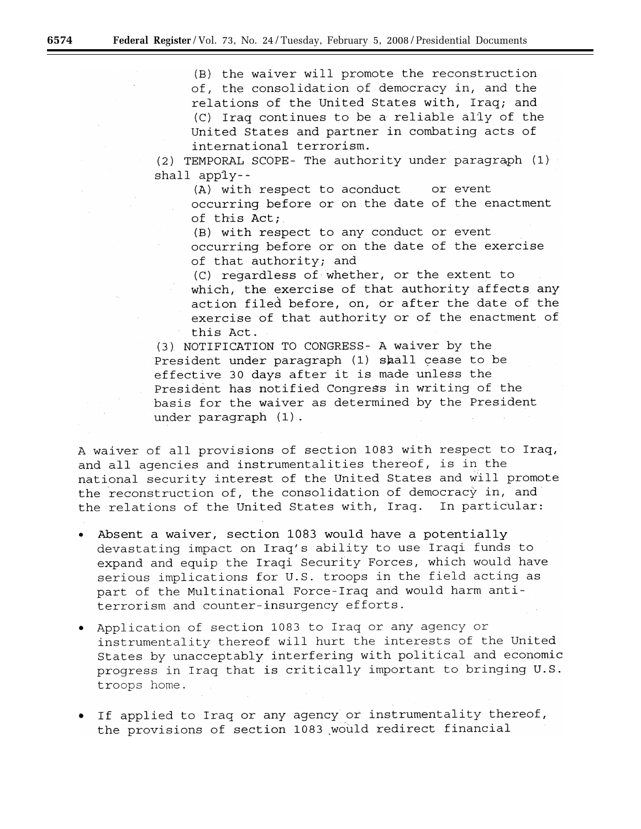(B) the waiver will promote the reconstruction of, the consolidation of democracy in, and the relations of the United States with, Iraq; and (C) Iraq continues to be a reliable ally of the United States and partner in combating acts of international terrorism.

(2) TEMPORAL SCOPE- The authority under paragraph (1)  $shall$  apply--

(A) with respect to aconduct or  $\operatorname{\mathsf{event}}$ 

occurring before or on the date of the enactment of this Act;

(B) with respect to any conduct or event occurring before or on the date of the exercise of that authority; and

(C) regardless of whether, or the extent to which, the exercise of that authority affects any action filed before, on, or after the date of the exercise of that authority or of the enactment of this Act.

(3) NOTIFICATION TO CONGRESS- A waiver by the President under paragraph (1) shall cease to be effective 30 days after it is made unless the President has notified Congress in writing of the basis for the waiver as determined by the President under paragraph (1).

A waiver of all provisions of section 1083 with respect to Iraq, and all agencies and instrumentalities thereof, is in the national security interest of the United States and will promote the reconstruction of, the consolidation of democracy in, and the relations of the United States with, Iraq. In particular:

- Absent a waiver, section 1083 would have a potentially devastating impact on Iraq's ability to use Iraqi funds to expand and equip the Iraqi Security Forces, which would have serious implications for U.S. troops in the field acting as part of the Multinational Force-Iraq and would harm antiterrorism and counter-insurgency efforts.
- . Application of section 1083 to Iraq or any agency or instrumentality thereof will hurt the interests of the United States by unacceptably interfering with political and economic progress in Iraq that is critically important to bringing U.S. troops home.
- . If applied to Iraq or any agency or instrumentality thereof, the provisions of section 1083 would redirect financial